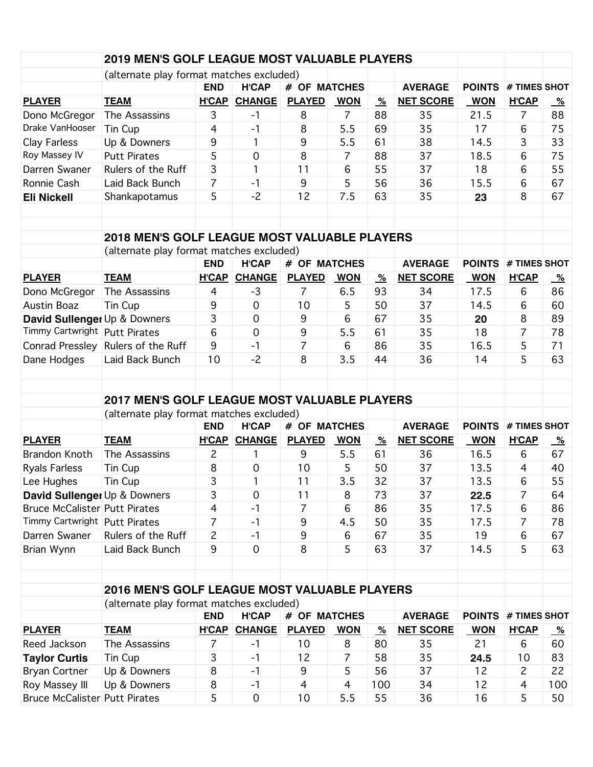|                                                        | 2019 MEN'S GOLF LEAGUE MOST VALUABLE PLAYERS                                                    |                |                     |                |                                 |                             |                  |               |                     |           |
|--------------------------------------------------------|-------------------------------------------------------------------------------------------------|----------------|---------------------|----------------|---------------------------------|-----------------------------|------------------|---------------|---------------------|-----------|
|                                                        | (alternate play format matches excluded)                                                        |                |                     |                |                                 |                             |                  |               |                     |           |
|                                                        |                                                                                                 | <b>END</b>     | <b>H'CAP</b>        | # OF MATCHES   |                                 |                             | <b>AVERAGE</b>   | <b>POINTS</b> | # TIMES SHOT        |           |
| <b>PLAYER</b>                                          | <b>TEAM</b>                                                                                     | <b>H'CAP</b>   | <b>CHANGE</b>       | <b>PLAYED</b>  | <b>WON</b>                      | $\frac{\%}{\sqrt{2}}$       | <b>NET SCORE</b> | <b>WON</b>    | <b>H'CAP</b>        | <u>%</u>  |
| Dono McGregor                                          | The Assassins                                                                                   | 3              | $-1$                | 8              | $\overline{7}$                  | 88                          | 35               | 21.5          | 7                   | 88        |
| Drake VanHooser                                        | Tin Cup                                                                                         | $\overline{4}$ | $-1$                | 8              | 5.5                             | 69                          | 35               | 17            | 6                   | 75        |
| Clay Farless                                           | Up & Downers                                                                                    | 9              | 1                   | 9              | 5.5                             | 61                          | 38               | 14.5          | 3                   | 33        |
| Roy Massey IV                                          | <b>Putt Pirates</b>                                                                             | 5              | $\mathbf 0$         | 8              | 7                               | 88                          | 37               | 18.5          | 6                   | 75        |
| Darren Swaner                                          | Rulers of the Ruff                                                                              | 3              | 1                   | 11             | 6                               | 55                          | 37               | 18            | 6                   | 55        |
| Ronnie Cash                                            | Laid Back Bunch                                                                                 | $\overline{7}$ | $-1$                | 9              | 5                               | 56                          | 36               | 15.5          | 6                   | 67        |
| <b>Eli Nickell</b>                                     | Shankapotamus                                                                                   | 5              | $-2$                | 12             | 7.5                             | 63                          | 35               | 23            | 8                   | 67        |
|                                                        | <b>2018 MEN'S GOLF LEAGUE MOST VALUABLE PLAYERS</b>                                             |                |                     |                |                                 |                             |                  |               |                     |           |
|                                                        | (alternate play format matches excluded)                                                        |                |                     |                |                                 |                             |                  |               |                     |           |
|                                                        |                                                                                                 | <b>END</b>     | <b>H'CAP</b>        | # OF MATCHES   |                                 |                             | <b>AVERAGE</b>   | <b>POINTS</b> | # TIMES SHOT        |           |
| <b>PLAYER</b>                                          | <b>TEAM</b>                                                                                     | <b>H'CAP</b>   | <b>CHANGE</b>       | <b>PLAYED</b>  | <b>WON</b>                      | $\frac{\%}{\sqrt{2}}$       | <b>NET SCORE</b> | <b>WON</b>    | <b>H'CAP</b>        | <u>%</u>  |
| Dono McGregor                                          | The Assassins                                                                                   | $\overline{4}$ | $-3$                | $\overline{7}$ | 6.5                             | 93                          | 34               | 17.5          | 6                   | 86        |
| <b>Austin Boaz</b>                                     | Tin Cup                                                                                         | 9              | $\mathbf 0$         | 10             | 5                               | 50                          | 37               | 14.5          | 6                   | 60        |
| David Sullenger Up & Downers                           |                                                                                                 | 3              | $\mathbf 0$         | 9              | 6                               | 67                          | 35               | 20            | 8                   | 89        |
| Timmy Cartwright   Putt Pirates                        |                                                                                                 | 6              | $\overline{0}$      | 9              | 5.5                             | 61                          | 35               | 18            | $\overline{7}$      | 78        |
|                                                        | Conrad Pressley Rulers of the Ruff                                                              | 9              | $-1$                | $\overline{7}$ | 6                               | 86                          | 35               | 16.5          | 5                   | 71        |
| Dane Hodges                                            | Laid Back Bunch                                                                                 | 10             | $-2$                | 8              | 3.5                             | 44                          | 36               | 14            | 5                   | 63        |
|                                                        | <b>2017 MEN'S GOLF LEAGUE MOST VALUABLE PLAYERS</b><br>(alternate play format matches excluded) |                |                     |                |                                 |                             |                  |               |                     |           |
|                                                        |                                                                                                 | <b>END</b>     | <b>H'CAP</b>        | # OF MATCHES   |                                 |                             | <b>AVERAGE</b>   | <b>POINTS</b> | # TIMES SHOT        |           |
| <b>PLAYER</b>                                          | <b>TEAM</b>                                                                                     | <b>H'CAP</b>   | <b>CHANGE</b>       | <b>PLAYED</b>  | <b>WON</b>                      | $\frac{\%}{\sqrt{2}}$       | <b>NET SCORE</b> | <b>WON</b>    | <b>H'CAP</b>        | <u>%</u>  |
| <b>Brandon Knoth</b>                                   | The Assassins                                                                                   | 2              | 1                   | 9              | 5.5                             | 61                          | 36               | 16.5          | 6                   | 67        |
| <b>Ryals Farless</b>                                   | Tin Cup                                                                                         | 8              | $\mathbf 0$         | 10             | 5                               | 50                          | 37               | 13.5          | $\overline{4}$      | 40        |
| Lee Hughes                                             | Tin Cup                                                                                         | 3              | 1                   | 11             | 3.5                             | 32                          | 37               | 13.5          | 6                   | 55        |
| David Sullenger Up & Downers                           |                                                                                                 | 3              | $\mathbf 0$         | 11             | 8                               | 73                          | 37               | 22.5          | 7                   | 64        |
| <b>Bruce McCalister Putt Pirates</b>                   |                                                                                                 | $\overline{4}$ | $-1$                | $\overline{7}$ | 6                               | 86                          | 35               | 17.5          | 6                   | 86        |
| Timmy Cartwright   Putt Pirates                        |                                                                                                 | 7              | $-1$                | 9              | 4.5                             | 50                          | 35               | 17.5          | 7                   | 78        |
| Darren Swaner                                          | Rulers of the Ruff                                                                              | $\overline{c}$ | $-1$                | 9              | 6                               | 67                          | 35               | 19            | 6                   | 67        |
| Brian Wynn                                             | Laid Back Bunch                                                                                 | 9              | $\overline{0}$      | 8              | 5                               | 63                          | 37               | 14.5          | 5                   | 63        |
|                                                        |                                                                                                 |                |                     |                |                                 |                             |                  |               |                     |           |
|                                                        | <b>2016 MEN'S GOLF LEAGUE MOST VALUABLE PLAYERS</b>                                             |                |                     |                |                                 |                             |                  |               |                     |           |
|                                                        | (alternate play format matches excluded)                                                        | <b>END</b>     | <b>H'CAP</b>        | # OF MATCHES   |                                 |                             | <b>AVERAGE</b>   | <b>POINTS</b> | # TIMES SHOT        |           |
| <b>PLAYER</b>                                          | <b>TEAM</b>                                                                                     | H'CAP          | <b>CHANGE</b>       | <b>PLAYED</b>  | <b>WON</b>                      |                             | <b>NET SCORE</b> | <b>WON</b>    | <b>H'CAP</b>        |           |
| Reed Jackson                                           | The Assassins                                                                                   |                | $-1$                | 10             | 8                               | $\frac{\%}{\sqrt{2}}$<br>80 | 35               | 21            | 6                   | <u>%</u>  |
|                                                        | Tin Cup                                                                                         | 7<br>3         | $-1$                | 12             | 7                               | 58                          | 35               |               | 10                  | 60<br>83  |
| <b>Taylor Curtis</b><br><b>Bryan Cortner</b>           | Up & Downers                                                                                    | 8              | $-1$                | 9              | 5                               | 56                          | 37               | 24.5<br>12    | $\overline{c}$      | 22        |
|                                                        |                                                                                                 | 8              |                     |                |                                 |                             |                  | 12            |                     |           |
| Roy Massey III<br><b>Bruce McCalister Putt Pirates</b> | Up & Downers                                                                                    | 5              | $-1$<br>$\mathbf 0$ | 4<br>10        | $\overline{\mathcal{A}}$<br>5.5 | 100<br>55                   | 34<br>36         | 16            | $\overline{4}$<br>5 | 100<br>50 |
|                                                        |                                                                                                 |                |                     |                |                                 |                             |                  |               |                     |           |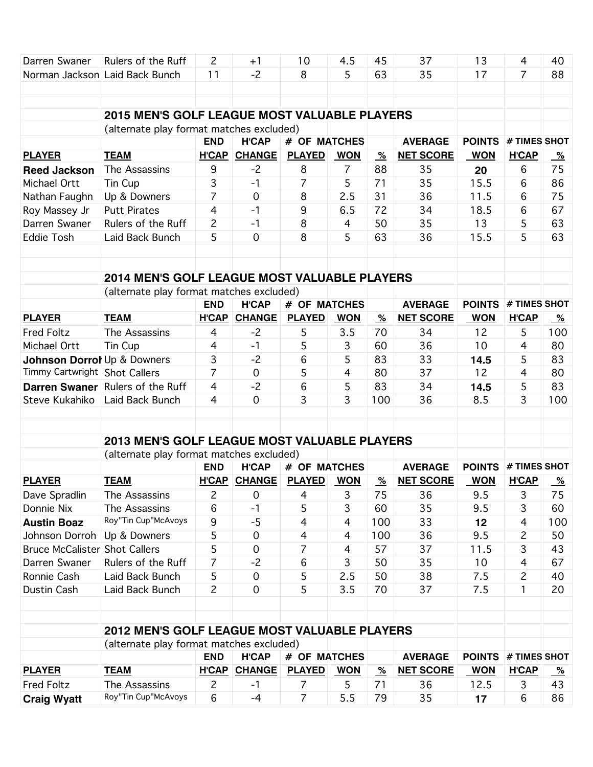| Darren Swaner                        | Rulers of the Ruff                                  | $\mathsf{S}$   | $+1$                | 10             | 4.5            | 45                    | 37               | 13            | 4              | 40            |
|--------------------------------------|-----------------------------------------------------|----------------|---------------------|----------------|----------------|-----------------------|------------------|---------------|----------------|---------------|
|                                      | Norman Jackson Laid Back Bunch                      | 11             | $-2$                | 8              | 5              | 63                    | 35               | 17            | $\overline{7}$ | 88            |
|                                      |                                                     |                |                     |                |                |                       |                  |               |                |               |
|                                      |                                                     |                |                     |                |                |                       |                  |               |                |               |
|                                      | <b>2015 MEN'S GOLF LEAGUE MOST VALUABLE PLAYERS</b> |                |                     |                |                |                       |                  |               |                |               |
|                                      | (alternate play format matches excluded)            |                |                     |                |                |                       |                  |               |                |               |
|                                      |                                                     | <b>END</b>     | <b>H'CAP</b>        | # OF MATCHES   |                |                       | <b>AVERAGE</b>   | <b>POINTS</b> | # TIMES SHOT   |               |
| <b>PLAYER</b>                        | <b>TEAM</b>                                         | <b>H'CAP</b>   | <b>CHANGE</b>       | <b>PLAYED</b>  | <b>WON</b>     | $\frac{9}{6}$         | <b>NET SCORE</b> | <b>WON</b>    | <b>H'CAP</b>   | $\frac{9}{6}$ |
| <b>Reed Jackson</b>                  | The Assassins                                       | 9              | $-2$                | 8              | $\overline{7}$ | 88                    | 35               | 20            | 6              | 75            |
| Michael Ortt                         | Tin Cup                                             | 3              | $-1$                | 7              | 5              | 71                    | 35               | 15.5          | 6              | 86            |
| Nathan Faughn                        | Up & Downers                                        | $\overline{7}$ | $\overline{0}$      | 8              | 2.5            | 31                    | 36               | 11.5          | 6              | 75            |
| Roy Massey Jr                        | <b>Putt Pirates</b>                                 | 4              | $-1$                | 9              | 6.5            | 72                    | 34               | 18.5          | 6              | 67            |
| Darren Swaner                        | Rulers of the Ruff                                  | 2              | $-1$                | 8              | 4              | 50                    | 35               | 13            | 5              | 63            |
| <b>Eddie Tosh</b>                    | Laid Back Bunch                                     | 5              | $\overline{0}$      | 8              | 5              | 63                    | 36               | 15.5          | 5              | 63            |
|                                      |                                                     |                |                     |                |                |                       |                  |               |                |               |
|                                      |                                                     |                |                     |                |                |                       |                  |               |                |               |
|                                      | <b>2014 MEN'S GOLF LEAGUE MOST VALUABLE PLAYERS</b> |                |                     |                |                |                       |                  |               |                |               |
|                                      | (alternate play format matches excluded)            |                |                     |                |                |                       |                  |               |                |               |
|                                      |                                                     | <b>END</b>     | <b>H'CAP</b>        | # OF MATCHES   |                |                       | <b>AVERAGE</b>   | <b>POINTS</b> | # TIMES SHOT   |               |
| <b>PLAYER</b>                        | <b>TEAM</b>                                         |                | H'CAP CHANGE        | <b>PLAYED</b>  | <b>WON</b>     | $\frac{9}{6}$         | <b>NET SCORE</b> | <b>WON</b>    | <b>H'CAP</b>   | $\frac{9}{6}$ |
| <b>Fred Foltz</b>                    | The Assassins                                       | 4              | $-2$                | 5              | 3.5            | 70                    | 34               | 12            | 5              | 100           |
| Michael Ortt                         | Tin Cup                                             | 4              | $-1$                | 5              | 3              | 60                    | 36               | 10            | 4              | 80            |
| Johnson Dorrol Up & Downers          |                                                     | 3              | $-2$                | 6              | 5              | 83                    | 33               | 14.5          | 5              | 83            |
| Timmy Cartwright Shot Callers        |                                                     | $\overline{7}$ | $\mathbf 0$         | 5              | 4              | 80                    | 37               | 12            | 4              | 80            |
| <b>Darren Swaner</b>                 | Rulers of the Ruff                                  | 4              | $-2$                | 6              | 5              | 83                    | 34               | 14.5          | 5              | 83            |
|                                      | Steve Kukahiko Laid Back Bunch                      | 4              | $\mathbf 0$         | 3              | 3              | 100                   | 36               | 8.5           | 3              | 100           |
|                                      |                                                     |                |                     |                |                |                       |                  |               |                |               |
|                                      |                                                     |                |                     |                |                |                       |                  |               |                |               |
|                                      | <b>2013 MEN'S GOLF LEAGUE MOST VALUABLE PLAYERS</b> |                |                     |                |                |                       |                  |               |                |               |
|                                      | (alternate play format matches excluded)            |                |                     |                |                |                       |                  |               |                |               |
|                                      |                                                     | <b>END</b>     | <b>H'CAP</b>        | # OF MATCHES   |                |                       | <b>AVERAGE</b>   | <b>POINTS</b> | # TIMES SHOT   |               |
| <b>PLAYER</b>                        | <b>TEAM</b>                                         |                | <b>H'CAP CHANGE</b> | <b>PLAYED</b>  | <b>WON</b>     | $\%$                  | <b>NET SCORE</b> | <b>WON</b>    | <b>H'CAP</b>   | $\%$          |
| Dave Spradlin                        | The Assassins                                       | 2              | $\mathbf 0$         | 4              | 3              | 75                    | 36               | 9.5           | 3              | 75            |
| Donnie Nix                           | The Assassins                                       | 6              | $-1$                | 5              | 3              | 60                    | 35               | 9.5           | 3              | 60            |
| <b>Austin Boaz</b>                   | Roy"Tin Cup"McAvoys                                 | 9              | $-5$                | $\overline{4}$ | 4              | 100                   | 33               | 12            | 4              | 100           |
| Johnson Dorroh                       | Up & Downers                                        | 5              | $\mathbf 0$         | $\overline{4}$ | 4              | 100                   | 36               | 9.5           | 2              | 50            |
| <b>Bruce McCalister Shot Callers</b> |                                                     | 5              | $\mathbf 0$         | 7              | 4              | 57                    | 37               | 11.5          | 3              | 43            |
| Darren Swaner                        | Rulers of the Ruff                                  | $\overline{7}$ | $-2$                | 6              | 3              | 50                    | 35               | 10            | $\overline{4}$ | 67            |
| Ronnie Cash                          | Laid Back Bunch                                     | 5              | $\mathbf 0$         | 5              | 2.5            | 50                    | 38               | 7.5           | $\overline{c}$ | 40            |
| Dustin Cash                          | Laid Back Bunch                                     | $\overline{c}$ | $\mathsf{O}\xspace$ | 5              | 3.5            | 70                    | 37               | 7.5           | 1              | 20            |
|                                      |                                                     |                |                     |                |                |                       |                  |               |                |               |
|                                      |                                                     |                |                     |                |                |                       |                  |               |                |               |
|                                      | <b>2012 MEN'S GOLF LEAGUE MOST VALUABLE PLAYERS</b> |                |                     |                |                |                       |                  |               |                |               |
|                                      | (alternate play format matches excluded)            |                |                     |                |                |                       |                  |               |                |               |
|                                      |                                                     | <b>END</b>     | <b>H'CAP</b>        | # OF MATCHES   |                |                       | <b>AVERAGE</b>   | <b>POINTS</b> | # TIMES SHOT   |               |
| <b>PLAYER</b>                        | <b>TEAM</b>                                         |                | <b>H'CAP CHANGE</b> | <b>PLAYED</b>  | <b>WON</b>     | $\frac{\%}{\sqrt{2}}$ | <b>NET SCORE</b> | <b>WON</b>    | <b>H'CAP</b>   | <u>%</u>      |
| <b>Fred Foltz</b>                    | The Assassins                                       | $\overline{c}$ | $-1$                | $\overline{7}$ | 5              | 71                    | 36               | 12.5          | 3              | 43            |
| <b>Craig Wyatt</b>                   | Roy"Tin Cup"McAvoys                                 | 6              | $-4$                | $\overline{7}$ | 5.5            | 79                    | 35               | 17            | 6              | 86            |